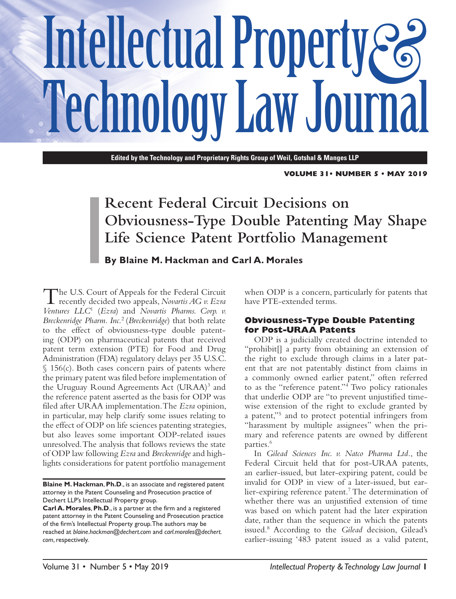# Intellectual Property  $\mathcal{E}_6$ **Technology Law Journal**

**Edited by the Technology and Proprietary Rights Group of Weil, Gotshal & Manges LLP**

**VOLUME 31• NUMBER 5 • May 2019**

### **Recent Federal Circuit Decisions on Obviousness-Type Double Patenting May Shape Life Science Patent Portfolio Management**

**By Blaine M. Hackman and Carl A. Morales**

The U.S. Court of Appeals for the Federal Circuit recently decided two appeals, *Novartis AG v. Ezra Ventures LLC*<sup>1</sup> (*Ezra*) and *Novartis Pharms. Corp. v. Breckenridge Pharm. Inc.*<sup>2</sup> (*Breckenridge*) that both relate to the effect of obviousness-type double patenting (ODP) on pharmaceutical patents that received patent term extension (PTE) for Food and Drug Administration (FDA) regulatory delays per 35 U.S.C.  $\S$  156(c). Both cases concern pairs of patents where the primary patent was filed before implementation of the Uruguay Round Agreements Act (URAA)<sup>3</sup> and the reference patent asserted as the basis for ODP was filed after URAA implementation. The *Ezra* opinion, in particular, may help clarify some issues relating to the effect of ODP on life sciences patenting strategies, but also leaves some important ODP-related issues unresolved. The analysis that follows reviews the state of ODP law following *Ezra* and *Breckenridge* and highlights considerations for patent portfolio management

**Blaine M. Hackman**, **Ph.D**., is an associate and registered patent attorney in the Patent Counseling and Prosecution practice of Dechert LLP's Intellectual Property group.

when ODP is a concern, particularly for patents that have PTE-extended terms.

#### **Obviousness-Type Double Patenting for Post-URAA Patents**

ODP is a judicially created doctrine intended to "prohibit[] a party from obtaining an extension of the right to exclude through claims in a later patent that are not patentably distinct from claims in a commonly owned earlier patent," often referred to as the "reference patent."4 Two policy rationales that underlie ODP are "to prevent unjustified timewise extension of the right to exclude granted by a patent,"5 and to protect potential infringers from "harassment by multiple assignees" when the primary and reference patents are owned by different parties.<sup>6</sup>

In *Gilead Sciences Inc. v. Natco Pharma Ltd.*, the Federal Circuit held that for post-URAA patents, an earlier-issued, but later-expiring patent, could be invalid for ODP in view of a later-issued, but earlier-expiring reference patent.<sup>7</sup> The determination of whether there was an unjustified extension of time was based on which patent had the later expiration date, rather than the sequence in which the patents issued.8 According to the *Gilead* decision, Gilead's earlier-issuing '483 patent issued as a valid patent,

**Carl A. Morales**, **Ph.D**., is a partner at the firm and a registered patent attorney in the Patent Counseling and Prosecution practice of the firm's Intellectual Property group. The authors may be reached at *<blaine.hackman@dechert.com>* and *[carl.morales@dechert.](carl.morales@dechert.com) [com](carl.morales@dechert.com)*, respectively.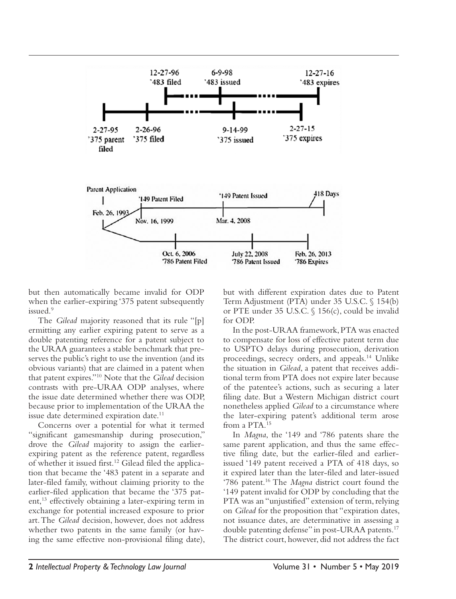

but then automatically became invalid for ODP when the earlier-expiring '375 patent subsequently issued.<sup>9</sup>

The *Gilead* majority reasoned that its rule "[p] ermitting any earlier expiring patent to serve as a double patenting reference for a patent subject to the URAA guarantees a stable benchmark that preserves the public's right to use the invention (and its obvious variants) that are claimed in a patent when that patent expires."10 Note that the *Gilead* decision contrasts with pre-URAA ODP analyses, where the issue date determined whether there was ODP, because prior to implementation of the URAA the issue date determined expiration date.<sup>11</sup>

Concerns over a potential for what it termed "significant gamesmanship during prosecution," drove the *Gilead* majority to assign the earlierexpiring patent as the reference patent, regardless of whether it issued first.<sup>12</sup> Gilead filed the application that became the '483 patent in a separate and later-filed family, without claiming priority to the earlier-filed application that became the '375 patent, $^{13}$  effectively obtaining a later-expiring term in exchange for potential increased exposure to prior art. The *Gilead* decision, however, does not address whether two patents in the same family (or having the same effective non-provisional filing date), but with different expiration dates due to Patent Term Adjustment (PTA) under 35 U.S.C. § 154(b) or PTE under 35 U.S.C. § 156(c), could be invalid for ODP.

In the post-URAA framework, PTA was enacted to compensate for loss of effective patent term due to USPTO delays during prosecution, derivation proceedings, secrecy orders, and appeals.14 Unlike the situation in *Gilead*, a patent that receives additional term from PTA does not expire later because of the patentee's actions, such as securing a later filing date. But a Western Michigan district court nonetheless applied *Gilead* to a circumstance where the later-expiring patent's additional term arose from a PTA.15

In *Magna*, the '149 and '786 patents share the same parent application, and thus the same effective filing date, but the earlier-filed and earlierissued '149 patent received a PTA of 418 days, so it expired later than the later-filed and later-issued '786 patent.16 The *Magna* district court found the '149 patent invalid for ODP by concluding that the PTA was an "unjustified" extension of term, relying on *Gilead* for the proposition that "expiration dates, not issuance dates, are determinative in assessing a double patenting defense" in post-URAA patents.<sup>17</sup> The district court, however, did not address the fact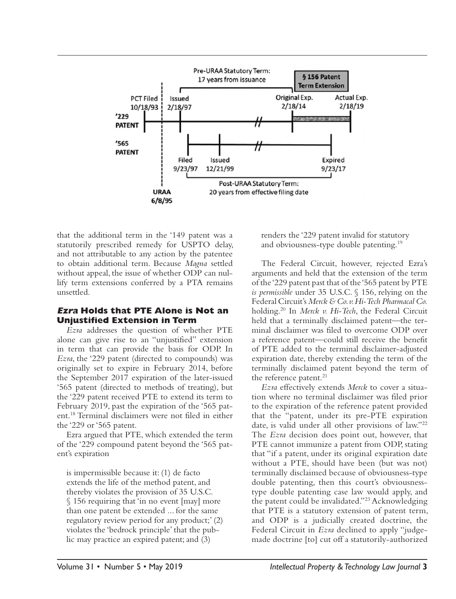

that the additional term in the '149 patent was a statutorily prescribed remedy for USPTO delay, and not attributable to any action by the patentee to obtain additional term. Because *Magna* settled without appeal, the issue of whether ODP can nullify term extensions conferred by a PTA remains unsettled.

#### **Ezra Holds that PTE Alone is Not an Unjustified Extension in Term**

*Ezra* addresses the question of whether PTE alone can give rise to an "unjustified" extension in term that can provide the basis for ODP. In *Ezra*, the '229 patent (directed to compounds) was originally set to expire in February 2014, before the September 2017 expiration of the later-issued '565 patent (directed to methods of treating), but the '229 patent received PTE to extend its term to February 2019, past the expiration of the '565 patent.18 Terminal disclaimers were not filed in either the '229 or '565 patent.

Ezra argued that PTE, which extended the term of the '229 compound patent beyond the '565 patent's expiration

is impermissible because it: (1) de facto extends the life of the method patent, and thereby violates the provision of 35 U.S.C. § 156 requiring that 'in no event [may] more than one patent be extended ... for the same regulatory review period for any product;' (2) violates the 'bedrock principle' that the public may practice an expired patent; and (3)

renders the '229 patent invalid for statutory and obviousness-type double patenting.<sup>19</sup>

The Federal Circuit, however, rejected Ezra's arguments and held that the extension of the term of the '229 patent past that of the '565 patent by PTE *is permissible* under 35 U.S.C. § 156, relying on the Federal Circuit's *Merck & Co. v. Hi-Tech Pharmacal Co.* holding.20 In *Merck v. Hi-Tech*, the Federal Circuit held that a terminally disclaimed patent—the terminal disclaimer was filed to overcome ODP over a reference patent—could still receive the benefit of PTE added to the terminal disclaimer-adjusted expiration date, thereby extending the term of the terminally disclaimed patent beyond the term of the reference patent. $21$ 

*Ezra* effectively extends *Merck* to cover a situation where no terminal disclaimer was filed prior to the expiration of the reference patent provided that the "patent, under its pre-PTE expiration date, is valid under all other provisions of law."22 The *Ezra* decision does point out, however, that PTE cannot immunize a patent from ODP, stating that "if a patent, under its original expiration date without a PTE, should have been (but was not) terminally disclaimed because of obviousness-type double patenting, then this court's obviousnesstype double patenting case law would apply, and the patent could be invalidated."23 Acknowledging that PTE is a statutory extension of patent term, and ODP is a judicially created doctrine, the Federal Circuit in *Ezra* declined to apply "judgemade doctrine [to] cut off a statutorily-authorized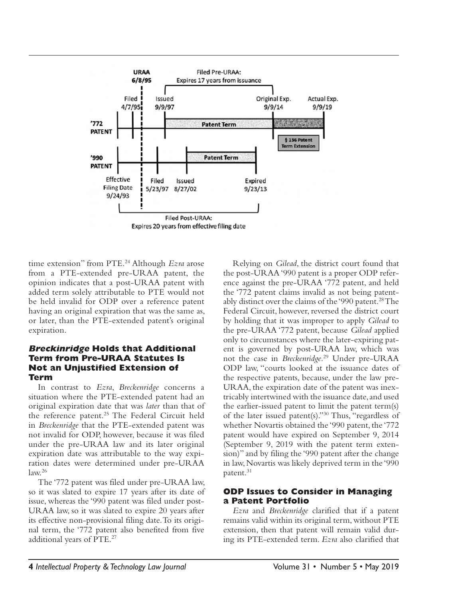

time extension" from PTE.24 Although *Ezra* arose from a PTE-extended pre-URAA patent, the opinion indicates that a post-URAA patent with added term solely attributable to PTE would not be held invalid for ODP over a reference patent having an original expiration that was the same as, or later, than the PTE-extended patent's original expiration.

#### **Breckinridge Holds that Additional Term from Pre-URAA Statutes Is Not an Unjustified Extension of Term**

In contrast to *Ezra*, *Breckenridge* concerns a situation where the PTE-extended patent had an original expiration date that was *later* than that of the reference patent.<sup>25</sup> The Federal Circuit held in *Breckenridge* that the PTE-extended patent was not invalid for ODP, however, because it was filed under the pre-URAA law and its later original expiration date was attributable to the way expiration dates were determined under pre-URAA law.26

The '772 patent was filed under pre-URAA law, so it was slated to expire 17 years after its date of issue, whereas the '990 patent was filed under post-URAA law, so it was slated to expire 20 years after its effective non-provisional filing date. To its original term, the '772 patent also benefited from five additional years of PTE.27

Relying on *Gilead*, the district court found that the post-URAA '990 patent is a proper ODP reference against the pre-URAA '772 patent, and held the '772 patent claims invalid as not being patentably distinct over the claims of the '990 patent.<sup>28</sup> The Federal Circuit, however, reversed the district court by holding that it was improper to apply *Gilead* to the pre-URAA '772 patent, because *Gilead* applied only to circumstances where the later-expiring patent is governed by post-URAA law, which was not the case in *Breckenridge*. 29 Under pre-URAA ODP law, "courts looked at the issuance dates of the respective patents, because, under the law pre-URAA, the expiration date of the patent was inextricably intertwined with the issuance date, and used the earlier-issued patent to limit the patent term(s) of the later issued patent(s)."30 Thus, "regardless of whether Novartis obtained the '990 patent, the '772 patent would have expired on September 9, 2014 (September 9, 2019 with the patent term extension)" and by filing the '990 patent after the change in law, Novartis was likely deprived term in the '990 patent.<sup>31</sup>

#### **ODP Issues to Consider in Managing a Patent Portfolio**

*Ezra* and *Breckenridge* clarified that if a patent remains valid within its original term, without PTE extension, then that patent will remain valid during its PTE-extended term. *Ezra* also clarified that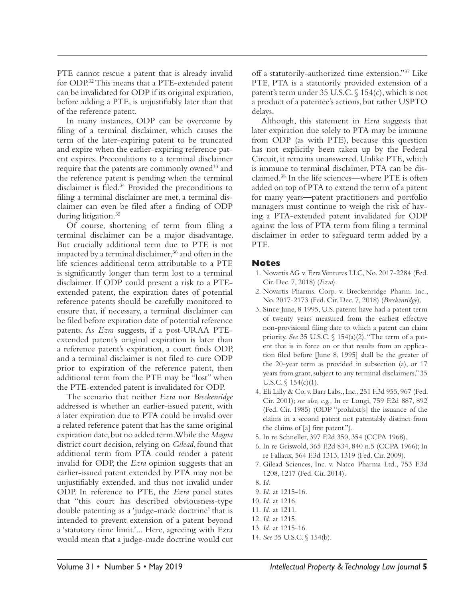PTE cannot rescue a patent that is already invalid for ODP.32 This means that a PTE-extended patent can be invalidated for ODP if its original expiration, before adding a PTE, is unjustifiably later than that of the reference patent.

In many instances, ODP can be overcome by filing of a terminal disclaimer, which causes the term of the later-expiring patent to be truncated and expire when the earlier-expiring reference patent expires. Preconditions to a terminal disclaimer require that the patents are commonly owned<sup>33</sup> and the reference patent is pending when the terminal disclaimer is filed.34 Provided the preconditions to filing a terminal disclaimer are met, a terminal disclaimer can even be filed after a finding of ODP during litigation.<sup>35</sup>

Of course, shortening of term from filing a terminal disclaimer can be a major disadvantage. But crucially additional term due to PTE is not impacted by a terminal disclaimer, $36$  and often in the life sciences additional term attributable to a PTE is significantly longer than term lost to a terminal disclaimer. If ODP could present a risk to a PTEextended patent, the expiration dates of potential reference patents should be carefully monitored to ensure that, if necessary, a terminal disclaimer can be filed before expiration date of potential reference patents. As *Ezra* suggests, if a post-URAA PTEextended patent's original expiration is later than a reference patent's expiration, a court finds ODP, and a terminal disclaimer is not filed to cure ODP prior to expiration of the reference patent, then additional term from the PTE may be "lost" when the PTE-extended patent is invalidated for ODP.

The scenario that neither *Ezra* nor *Breckenridge* addressed is whether an earlier-issued patent, with a later expiration due to PTA could be invalid over a related reference patent that has the same original expiration date, but no added term. While the *Magna* district court decision, relying on *Gilead*, found that additional term from PTA could render a patent invalid for ODP, the *Ezra* opinion suggests that an earlier-issued patent extended by PTA may not be unjustifiably extended, and thus not invalid under ODP. In reference to PTE, the *Ezra* panel states that "this court has described obviousness-type double patenting as a 'judge-made doctrine' that is intended to prevent extension of a patent beyond a 'statutory time limit.'... Here, agreeing with Ezra would mean that a judge-made doctrine would cut off a statutorily-authorized time extension."37 Like PTE, PTA is a statutorily provided extension of a patent's term under 35 U.S.C. § 154(c), which is not a product of a patentee's actions, but rather USPTO delays.

Although, this statement in *Ezra* suggests that later expiration due solely to PTA may be immune from ODP (as with PTE), because this question has not explicitly been taken up by the Federal Circuit, it remains unanswered. Unlike PTE, which is immune to terminal disclaimer, PTA can be disclaimed.38 In the life sciences—where PTE is often added on top of PTA to extend the term of a patent for many years—patent practitioners and portfolio managers must continue to weigh the risk of having a PTA-extended patent invalidated for ODP against the loss of PTA term from filing a terminal disclaimer in order to safeguard term added by a PTE.

#### **Notes**

- 1. Novartis AG v. Ezra Ventures LLC, No. 2017-2284 (Fed. Cir. Dec. 7, 2018) (*Ezra*).
- 2. Novartis Pharms. Corp. v. Breckenridge Pharm. Inc., No. 2017-2173 (Fed. Cir. Dec. 7, 2018) (*Breckenridge*).
- 3. Since June, 8 1995, U.S. patents have had a patent term of twenty years measured from the earliest effective non-provisional filing date to which a patent can claim priority. *See* 35 U.S.C. § 154(a)(2). "The term of a patent that is in force on or that results from an application filed before [June 8, 1995] shall be the greater of the 20-year term as provided in subsection (a), or 17 years from grant, subject to any terminal disclaimers." 35 U.S.C. § 154(c)(1).
- 4. Eli Lilly & Co. v. Barr Labs., Inc., 251 F.3d 955, 967 (Fed. Cir. 2001); *see also, e.g.,* In re Longi, 759 F.2d 887, 892 (Fed. Cir. 1985) (ODP "prohibit[s] the issuance of the claims in a second patent not patentably distinct from the claims of [a] first patent.").
- 5. In re Schneller, 397 F.2d 350, 354 (CCPA 1968).
- 6. In re Griswold, 365 F.2d 834, 840 n.5 (CCPA 1966); In re Fallaux, 564 F.3d 1313, 1319 (Fed. Cir. 2009).
- 7. Gilead Sciences, Inc. v. Natco Pharma Ltd*.*, 753 F.3d 1208, 1217 (Fed. Cir. 2014).
- 8. *Id.*
- 9. *Id.* at 1215-16.
- 10. *Id.* at 1216.
- 11. *Id.* at 1211.
- 12. *Id.* at 1215.
- 13. *Id.* at 1215-16.
- 14. *See* 35 U.S.C. § 154(b).